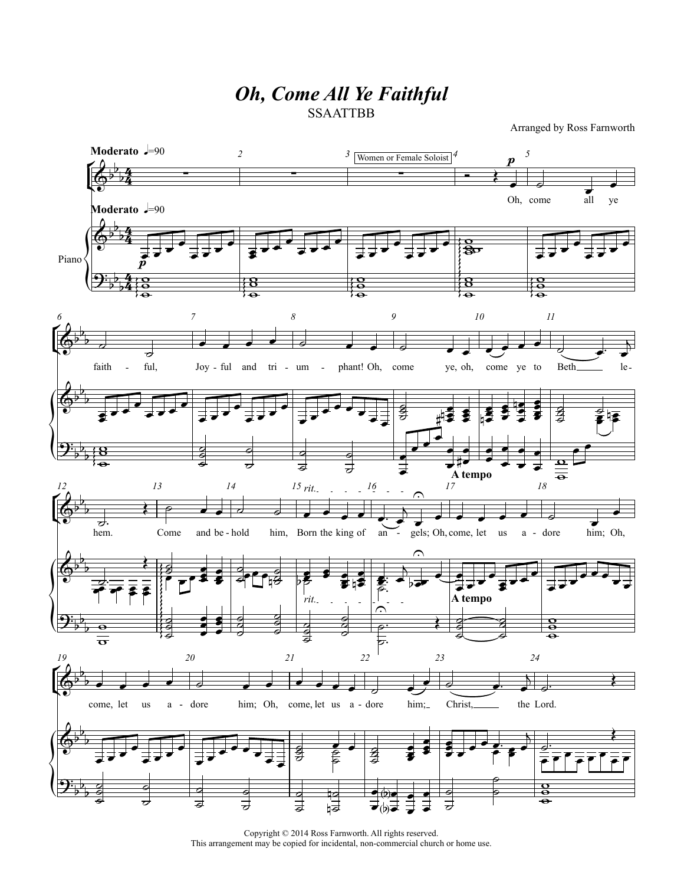## *Oh, Come All Ye Faithful* **SSAATTBB**

Arranged by Ross Farnworth



Copyright © 2014 Ross Farnworth. All rights reserved. This arrangement may be copied for incidental, non-commercial church or home use.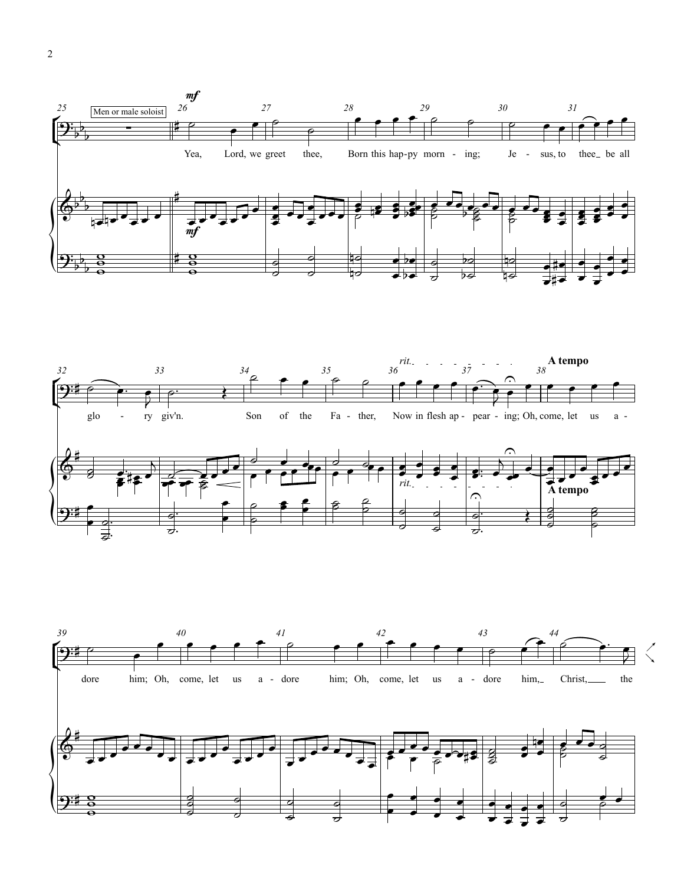



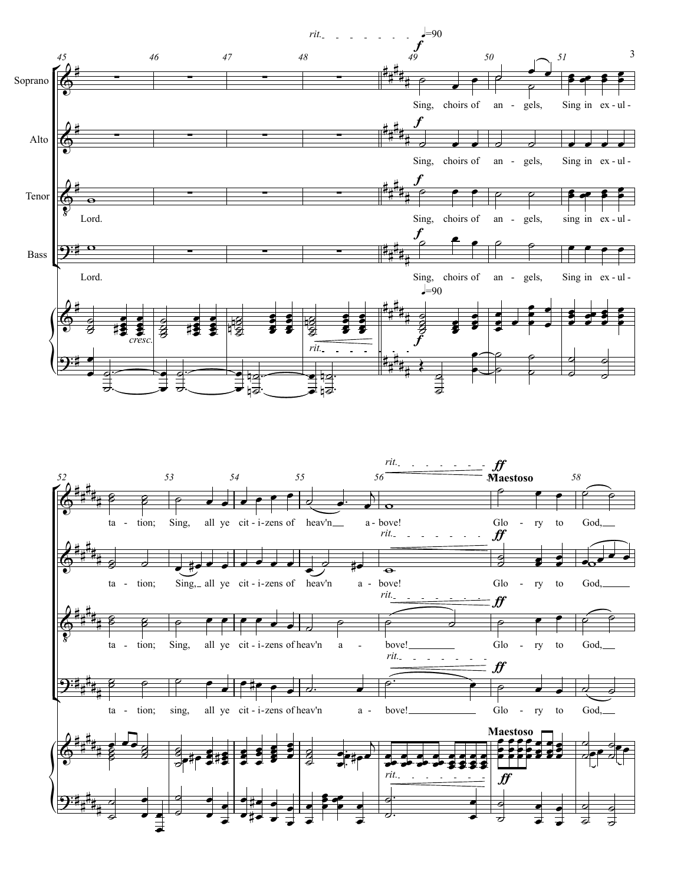

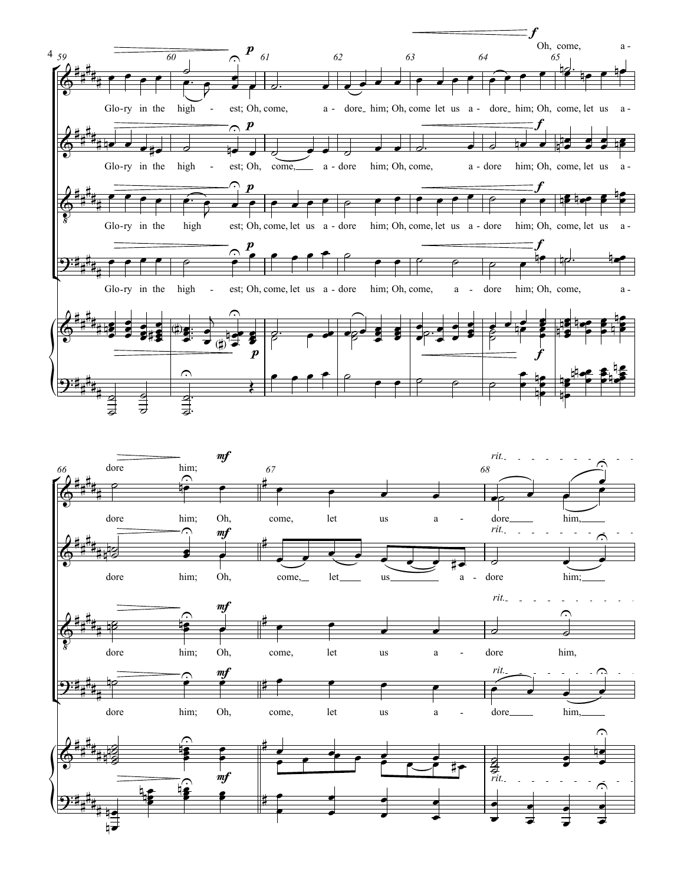